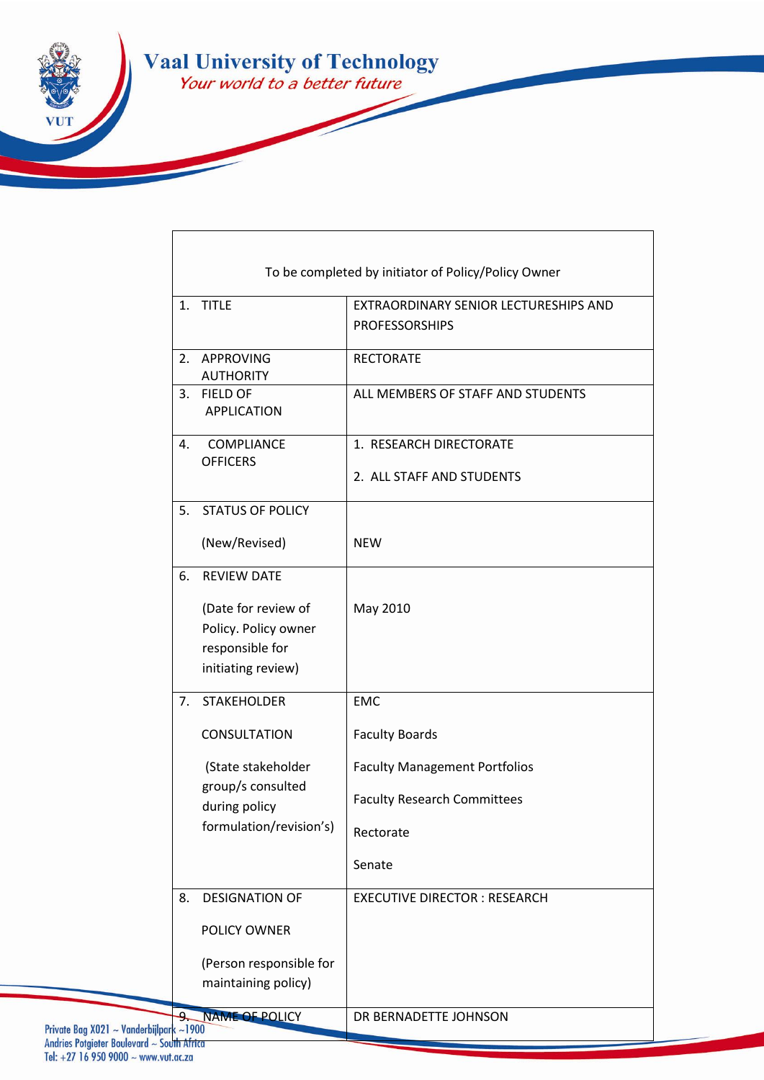

 $\overline{1}$ 

| To be completed by initiator of Policy/Policy Owner |                                                                                      |                                                                |
|-----------------------------------------------------|--------------------------------------------------------------------------------------|----------------------------------------------------------------|
|                                                     | 1. TITLE                                                                             | EXTRAORDINARY SENIOR LECTURESHIPS AND<br><b>PROFESSORSHIPS</b> |
| 2.                                                  | APPROVING<br><b>AUTHORITY</b>                                                        | <b>RECTORATE</b>                                               |
| 3.                                                  | <b>FIELD OF</b><br><b>APPLICATION</b>                                                | ALL MEMBERS OF STAFF AND STUDENTS                              |
| 4.                                                  | <b>COMPLIANCE</b><br><b>OFFICERS</b>                                                 | 1. RESEARCH DIRECTORATE<br>2. ALL STAFF AND STUDENTS           |
|                                                     | 5. STATUS OF POLICY                                                                  |                                                                |
|                                                     | (New/Revised)                                                                        | <b>NEW</b>                                                     |
| 6.                                                  | <b>REVIEW DATE</b>                                                                   |                                                                |
|                                                     | (Date for review of<br>Policy. Policy owner<br>responsible for<br>initiating review) | May 2010                                                       |
| 7.                                                  | <b>STAKEHOLDER</b>                                                                   | <b>EMC</b>                                                     |
|                                                     | <b>CONSULTATION</b>                                                                  | <b>Faculty Boards</b>                                          |
|                                                     | (State stakeholder<br>group/s consulted                                              | <b>Faculty Management Portfolios</b>                           |
|                                                     | during policy                                                                        | <b>Faculty Research Committees</b>                             |
|                                                     | formulation/revision's)                                                              | Rectorate                                                      |
|                                                     |                                                                                      | Senate                                                         |
| 8.                                                  | <b>DESIGNATION OF</b>                                                                | <b>EXECUTIVE DIRECTOR: RESEARCH</b>                            |
|                                                     | POLICY OWNER                                                                         |                                                                |
|                                                     | (Person responsible for<br>maintaining policy)                                       |                                                                |
| $ark \sim 1900$                                     | <b>NAME OF POLICY</b>                                                                | DR BERNADETTE JOHNSON                                          |

٦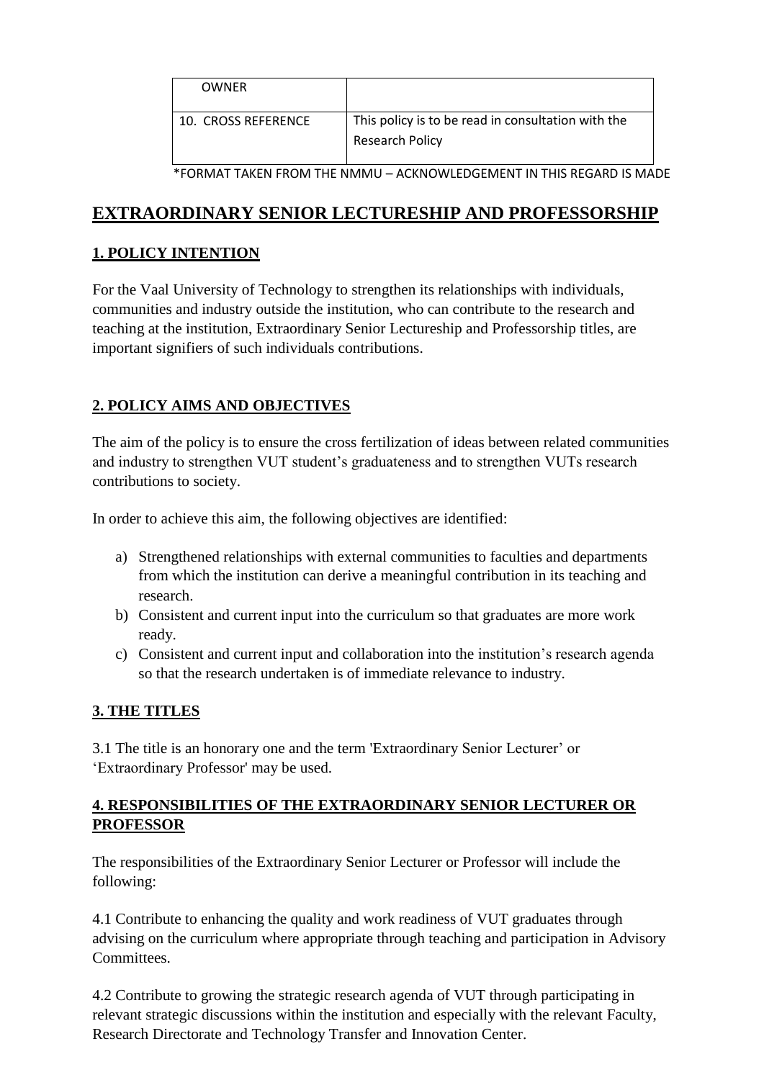| <b>OWNFR</b>        |                                                                       |
|---------------------|-----------------------------------------------------------------------|
| 10. CROSS REFERENCE | This policy is to be read in consultation with the<br>Research Policy |

\*FORMAT TAKEN FROM THE NMMU – ACKNOWLEDGEMENT IN THIS REGARD IS MADE

## **EXTRAORDINARY SENIOR LECTURESHIP AND PROFESSORSHIP**

#### **1. POLICY INTENTION**

For the Vaal University of Technology to strengthen its relationships with individuals, communities and industry outside the institution, who can contribute to the research and teaching at the institution, Extraordinary Senior Lectureship and Professorship titles, are important signifiers of such individuals contributions.

### **2. POLICY AIMS AND OBJECTIVES**

The aim of the policy is to ensure the cross fertilization of ideas between related communities and industry to strengthen VUT student's graduateness and to strengthen VUTs research contributions to society.

In order to achieve this aim, the following objectives are identified:

- a) Strengthened relationships with external communities to faculties and departments from which the institution can derive a meaningful contribution in its teaching and research.
- b) Consistent and current input into the curriculum so that graduates are more work ready.
- c) Consistent and current input and collaboration into the institution's research agenda so that the research undertaken is of immediate relevance to industry.

#### **3. THE TITLES**

3.1 The title is an honorary one and the term 'Extraordinary Senior Lecturer' or 'Extraordinary Professor' may be used.

#### **4. RESPONSIBILITIES OF THE EXTRAORDINARY SENIOR LECTURER OR PROFESSOR**

The responsibilities of the Extraordinary Senior Lecturer or Professor will include the following:

4.1 Contribute to enhancing the quality and work readiness of VUT graduates through advising on the curriculum where appropriate through teaching and participation in Advisory Committees.

4.2 Contribute to growing the strategic research agenda of VUT through participating in relevant strategic discussions within the institution and especially with the relevant Faculty, Research Directorate and Technology Transfer and Innovation Center.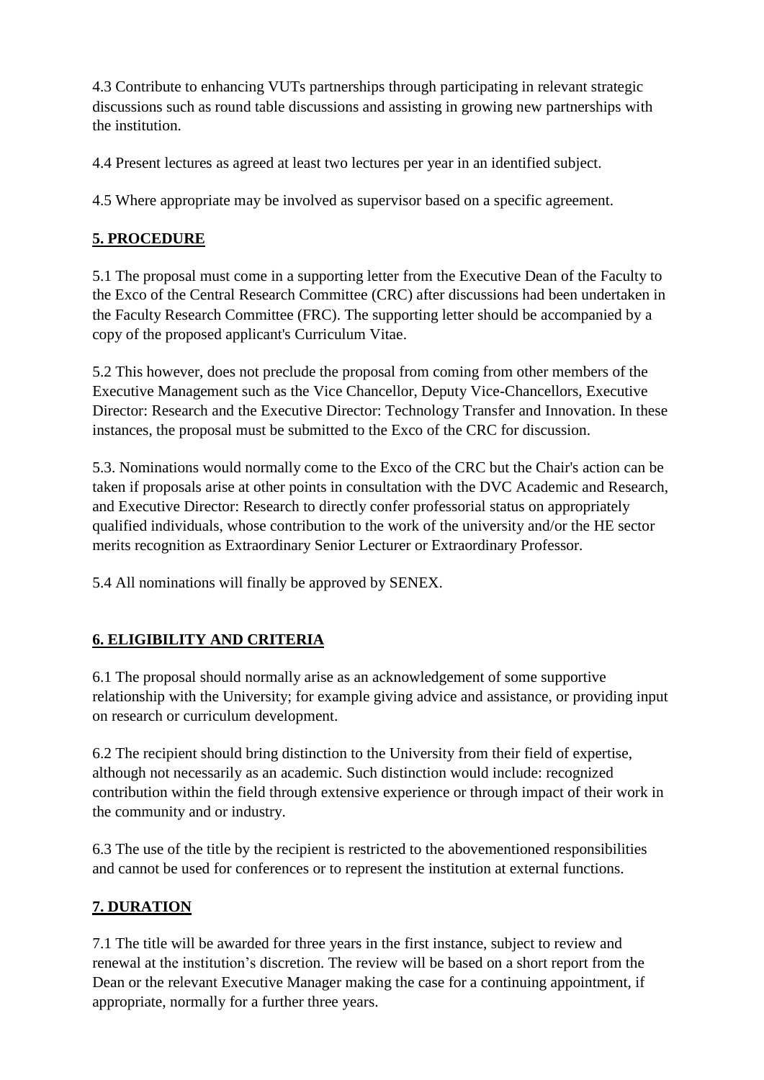4.3 Contribute to enhancing VUTs partnerships through participating in relevant strategic discussions such as round table discussions and assisting in growing new partnerships with the institution.

4.4 Present lectures as agreed at least two lectures per year in an identified subject.

4.5 Where appropriate may be involved as supervisor based on a specific agreement.

## **5. PROCEDURE**

5.1 The proposal must come in a supporting letter from the Executive Dean of the Faculty to the Exco of the Central Research Committee (CRC) after discussions had been undertaken in the Faculty Research Committee (FRC). The supporting letter should be accompanied by a copy of the proposed applicant's Curriculum Vitae.

5.2 This however, does not preclude the proposal from coming from other members of the Executive Management such as the Vice Chancellor, Deputy Vice-Chancellors, Executive Director: Research and the Executive Director: Technology Transfer and Innovation. In these instances, the proposal must be submitted to the Exco of the CRC for discussion.

5.3. Nominations would normally come to the Exco of the CRC but the Chair's action can be taken if proposals arise at other points in consultation with the DVC Academic and Research, and Executive Director: Research to directly confer professorial status on appropriately qualified individuals, whose contribution to the work of the university and/or the HE sector merits recognition as Extraordinary Senior Lecturer or Extraordinary Professor.

5.4 All nominations will finally be approved by SENEX.

# **6. ELIGIBILITY AND CRITERIA**

6.1 The proposal should normally arise as an acknowledgement of some supportive relationship with the University; for example giving advice and assistance, or providing input on research or curriculum development.

6.2 The recipient should bring distinction to the University from their field of expertise, although not necessarily as an academic. Such distinction would include: recognized contribution within the field through extensive experience or through impact of their work in the community and or industry.

6.3 The use of the title by the recipient is restricted to the abovementioned responsibilities and cannot be used for conferences or to represent the institution at external functions.

## **7. DURATION**

7.1 The title will be awarded for three years in the first instance, subject to review and renewal at the institution's discretion. The review will be based on a short report from the Dean or the relevant Executive Manager making the case for a continuing appointment, if appropriate, normally for a further three years.